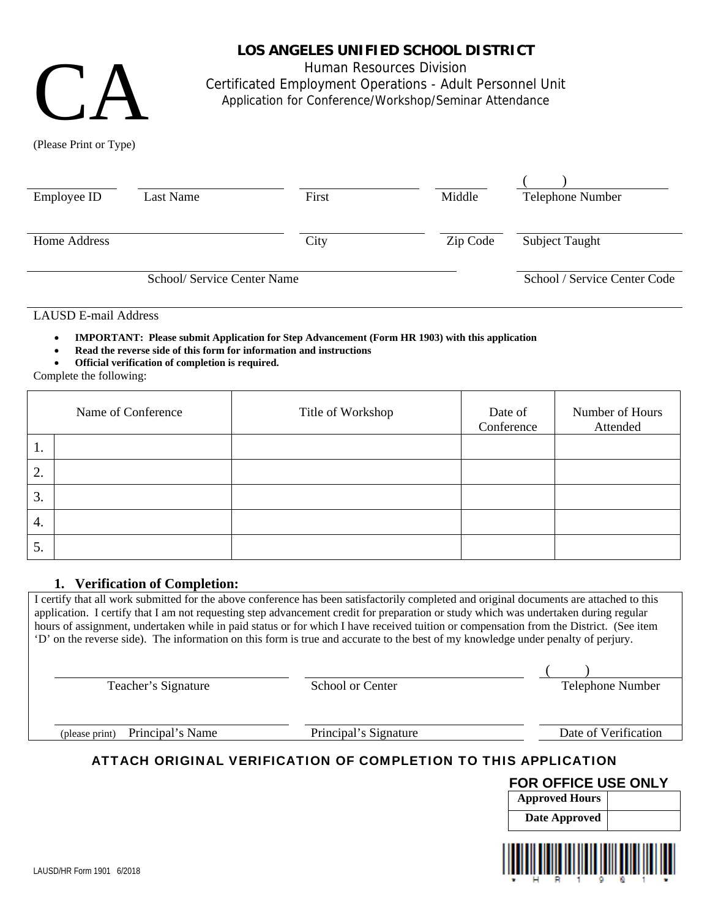

(Please Print or Type)

# **LOS ANGELES UNIFIED SCHOOL DISTRICT**

Human Resources Division

Certificated Employment Operations - Adult Personnel Unit

Application for Conference/Workshop/Seminar Attendance

 $($  ) Employee ID Last Name First Middle Helephone Number Home Address City City  $\qquad \qquad$  Zip Code Subject Taught School/ Service Center Name School / Service Center Code

LAUSD E-mail Address

**IMPORTANT: Please submit Application for Step Advancement (Form HR 1903) with this application** 

- **Read the reverse side of this form for information and instructions**
- **Official verification of completion is required.**

Complete the following:

|                 | Name of Conference | Title of Workshop | Date of<br>Conference | Number of Hours<br>Attended |
|-----------------|--------------------|-------------------|-----------------------|-----------------------------|
| $\mathbf{I}$ .  |                    |                   |                       |                             |
| 2.              |                    |                   |                       |                             |
| 3.              |                    |                   |                       |                             |
| 4.              |                    |                   |                       |                             |
| $\mathcal{L}$ . |                    |                   |                       |                             |

## **1. Verification of Completion:**

I certify that all work submitted for the above conference has been satisfactorily completed and original documents are attached to this application. I certify that I am not requesting step advancement credit for preparation or study which was undertaken during regular hours of assignment, undertaken while in paid status or for which I have received tuition or compensation from the District. (See item 'D' on the reverse side). The information on this form is true and accurate to the best of my knowledge under penalty of perjury.

Teacher's Signature School or Center Center Telephone Number

 $($  )

(please print) Principal's Name Principal's Signature Date of Verification

# ATTACH ORIGINAL VERIFICATION OF COMPLETION TO THIS APPLICATION

## **FOR OFFICE USE ONLY**

| <b>Approved Hours</b> |  |
|-----------------------|--|
| Date Approved         |  |